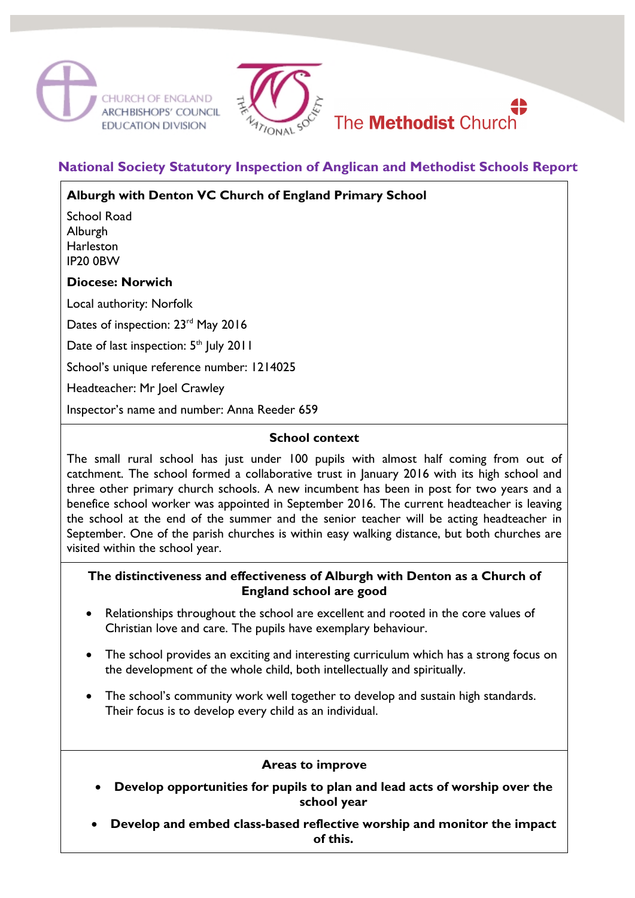



# **National Society Statutory Inspection of Anglican and Methodist Schools Report**

# **Alburgh with Denton VC Church of England Primary School**

School Road Alburgh **Harleston** IP20 0BW

#### **Diocese: Norwich**

Local authority: Norfolk

Dates of inspection: 23<sup>rd</sup> May 2016

Date of last inspection: 5<sup>th</sup> July 2011

School's unique reference number: 1214025

Headteacher: Mr Joel Crawley

Inspector's name and number: Anna Reeder 659

### **School context**

The small rural school has just under 100 pupils with almost half coming from out of catchment. The school formed a collaborative trust in January 2016 with its high school and three other primary church schools. A new incumbent has been in post for two years and a benefice school worker was appointed in September 2016. The current headteacher is leaving the school at the end of the summer and the senior teacher will be acting headteacher in September. One of the parish churches is within easy walking distance, but both churches are visited within the school year.

## **The distinctiveness and effectiveness of Alburgh with Denton as a Church of England school are good**

- Relationships throughout the school are excellent and rooted in the core values of Christian love and care. The pupils have exemplary behaviour.
- The school provides an exciting and interesting curriculum which has a strong focus on the development of the whole child, both intellectually and spiritually.
- The school's community work well together to develop and sustain high standards. Their focus is to develop every child as an individual.

#### **Areas to improve**

- **Develop opportunities for pupils to plan and lead acts of worship over the school year**
- **Develop and embed class-based reflective worship and monitor the impact of this.**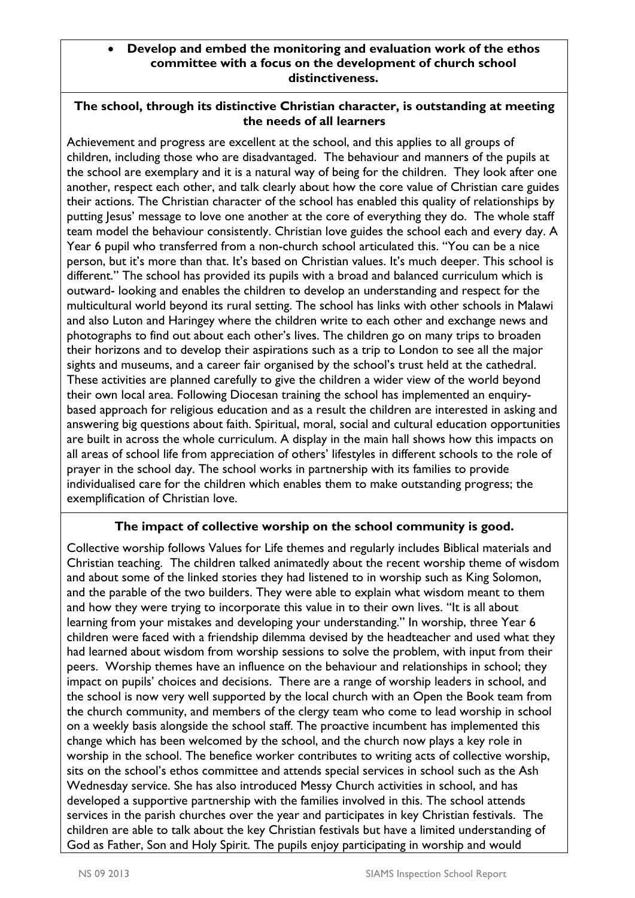### • **Develop and embed the monitoring and evaluation work of the ethos committee with a focus on the development of church school distinctiveness.**

# **The school, through its distinctive Christian character, is outstanding at meeting the needs of all learners**

Achievement and progress are excellent at the school, and this applies to all groups of children, including those who are disadvantaged. The behaviour and manners of the pupils at the school are exemplary and it is a natural way of being for the children. They look after one another, respect each other, and talk clearly about how the core value of Christian care guides their actions. The Christian character of the school has enabled this quality of relationships by putting Jesus' message to love one another at the core of everything they do. The whole staff team model the behaviour consistently. Christian love guides the school each and every day. A Year 6 pupil who transferred from a non-church school articulated this. "You can be a nice person, but it's more than that. It's based on Christian values. It's much deeper. This school is different." The school has provided its pupils with a broad and balanced curriculum which is outward- looking and enables the children to develop an understanding and respect for the multicultural world beyond its rural setting. The school has links with other schools in Malawi and also Luton and Haringey where the children write to each other and exchange news and photographs to find out about each other's lives. The children go on many trips to broaden their horizons and to develop their aspirations such as a trip to London to see all the major sights and museums, and a career fair organised by the school's trust held at the cathedral. These activities are planned carefully to give the children a wider view of the world beyond their own local area. Following Diocesan training the school has implemented an enquirybased approach for religious education and as a result the children are interested in asking and answering big questions about faith. Spiritual, moral, social and cultural education opportunities are built in across the whole curriculum. A display in the main hall shows how this impacts on all areas of school life from appreciation of others' lifestyles in different schools to the role of prayer in the school day. The school works in partnership with its families to provide individualised care for the children which enables them to make outstanding progress; the exemplification of Christian love.

# **The impact of collective worship on the school community is good.**

Collective worship follows Values for Life themes and regularly includes Biblical materials and Christian teaching. The children talked animatedly about the recent worship theme of wisdom and about some of the linked stories they had listened to in worship such as King Solomon, and the parable of the two builders. They were able to explain what wisdom meant to them and how they were trying to incorporate this value in to their own lives. "It is all about learning from your mistakes and developing your understanding." In worship, three Year 6 children were faced with a friendship dilemma devised by the headteacher and used what they had learned about wisdom from worship sessions to solve the problem, with input from their peers. Worship themes have an influence on the behaviour and relationships in school; they impact on pupils' choices and decisions. There are a range of worship leaders in school, and the school is now very well supported by the local church with an Open the Book team from the church community, and members of the clergy team who come to lead worship in school on a weekly basis alongside the school staff. The proactive incumbent has implemented this change which has been welcomed by the school, and the church now plays a key role in worship in the school. The benefice worker contributes to writing acts of collective worship, sits on the school's ethos committee and attends special services in school such as the Ash Wednesday service. She has also introduced Messy Church activities in school, and has developed a supportive partnership with the families involved in this. The school attends services in the parish churches over the year and participates in key Christian festivals. The children are able to talk about the key Christian festivals but have a limited understanding of God as Father, Son and Holy Spirit. The pupils enjoy participating in worship and would